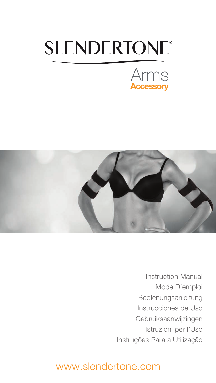# **SLENDERTONE®**





Instruction Manual Mode D'emploi Bedienungsanleitung Instrucciones de Uso Gebruiksaanwijzingen Istruzioni per l'Uso Instruções Para a Utilização

## www.slendertone.com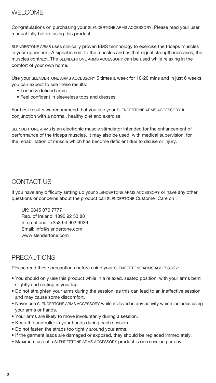## WELCOME

Congratulations on purchasing your SLENDERTONE ARMS ACCESSORY. Please read your user manual fully before using this product.

SLENDERTONE ARMS uses clinically proven EMS technology to exercise the triceps muscles in your upper arm. A signal is sent to the muscles and as that signal strength increases, the muscles contract. The SLENDERTONE ARMS ACCESSORY can be used while relaxing in the comfort of your own home.

Use your SLENDERTONE ARMS ACCESSORY 5 times a week for 10-20 mins and in just 6 weeks, you can expect to see these results:

- Toned & defined arms
- Feel confident in sleeveless tops and dresses

For best results we recommend that you use your SLENDERTONE ARMS ACCESSORY in conjunction with a normal, healthy diet and exercise.

SLENDERTONE ARMS is an electronic muscle stimulator intended for the enhancement of performance of the triceps muscles. It may also be used, with medical supervision, for the rehabilitation of muscle which has become deficient due to disuse or injury.

## CONTACT US

If you have any difficulty setting up your SLENDERTONE ARMS ACCESSORY or have any other questions or concerns about the product call SLENDERTONE Customer Care on :

UK: 0845 070 7777 Rep. of Ireland: 1890 92 33 88 International: +353 94 902 9936 Email: info@slendertone.com www.slendertone.com

## PRECAUTIONS

Please read these precautions before using your SLENDERTONE ARMS ACCESSORY:

- **•** You should only use this product while in a relaxed, seated position, with your arms bent slightly and resting in your lap.
- **•** Do not straighten your arms during the session, as this can lead to an ineffective session and may cause some discomfort.
- **•** Never use SLENDERTONE ARMS ACCESSORY while invloved in any activity which includes using your arms or hands.
- **•** Your arms are likely to move involuntarily during a session.
- **•** Keep the controller in your hands during each session.
- **•** Do not fasten the straps too tightly around your arms.
- **•** If the garment leads are damaged or exposed, they should be replaced immediately.
- **•** Maximum use of a SLENDERTONE ARMS ACCESSORY product is one session per day.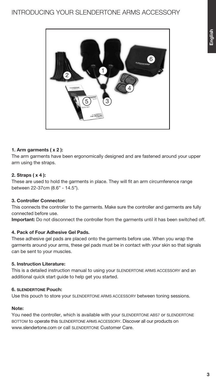

#### **1. Arm garments ( x 2 ):**

The arm garments have been ergonomically designed and are fastened around your upper arm using the straps.

#### **2. Straps ( x 4 ):**

These are used to hold the garments in place. They will fit an arm circumference range between 22-37cm (8.6" - 14.5").

#### **3. Controller Connector:**

This connects the controller to the garments. Make sure the controller and garments are fully connected before use.

**Important:** Do not disconnect the controller from the garments until it has been switched off.

#### **4. Pack of Four Adhesive Gel Pads.**

These adhesive gel pads are placed onto the garments before use. When you wrap the garments around your arms, these gel pads must be in contact with your skin so that signals can be sent to your muscles.

#### **5. Instruction Literature:**

This is a detailed instruction manual to using your SLENDERTONE ARMS ACCESSORY and an additional quick start guide to help get you started.

#### **6. SLENDERTONE Pouch:**

Use this pouch to store your SLENDERTONE ARMS ACCESSORY between toning sessions.

#### **Note:**

You need the controller, which is available with your SLENDERTONE ABS7 or SLENDERTONE BOTTOM to operate this SLENDERTONE ARMS ACCESSORY. Discover all our products on www.slendertone.com or call SLENDERTONE Customer Care.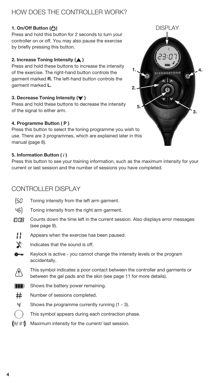## HOW DOES THE CONTROLLER WORK?

#### **1. On/Off Button ( )**

Press and hold this button for 2 seconds to turn your controller on or off. You may also pause the exercise by briefly pressing this button.

#### **2. Increase Toning Intensity (A)**

Press and hold these buttons to increase the intensity of the exercise. The right-hand button controls the garment marked **R.** The left-hand button controls the garment marked **L.**

#### **3. Decrease Toning Intensity (** $\blacktriangledown$ **)**

Press and hold these buttons to decrease the intensity of the signal to either arm.

#### **4. Programme Button ( P )**

Press this button to select the toning programme you wish to use. There are 3 programmes, which are explained later in this manual (page 8).

#### **5. Information Button (** *i* **)**

Press this button to see your training information, such as the maximum intensity for your current or last session and the number of sessions you have completed.

### CONTROLLER DISPLAY

- (50 Toning intensity from the left arm garment.
- 45). Toning intensity from the right arm garment.
- Counts down the time left in the current session. Also displays error messages IN:NA (see page 9).
- Н Appears when the exercise has been paused.
- $\mathbf x$ Indicates that the sound is off.
- $\bullet$ Keylock is active - you cannot change the intensity levels or the program accidentally.
- This symbol indicates a poor contact between the controller and garments or between the gel pads and the skin (see page 11 for more details).
- $\blacksquare$  Shows the battery power remaining.
- $#$ Number of sessions completed.
- Ч. Shows the programme currently running (1 - 3).
	- This symbol appears during each contraction phase.
- Maximum intensity for the current/ last session. (32 87)

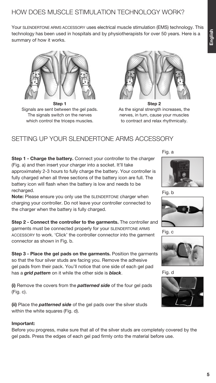Your SLENDERTONE ARMS ACCESSORY uses electrical muscle stimulation (EMS) technology. This technology has been used in hospitals and by physiotherapists for over 50 years. Here is a summary of how it works.



**Step 1** Signals are sent between the gel pads. The signals switch on the nerves which control the triceps muscles.



**Step 2** As the signal strength increases, the nerves, in turn, cause your muscles to contract and relax rhythmically.

## SETTING UP YOUR SLENDERTONE ARMS ACCESSORY

**Step 1 - Charge the battery.** Connect your controller to the charger (Fig. a) and then insert your charger into a socket. It'll take approximately 2-3 hours to fully charge the battery. Your controller is fully charged when all three sections of the battery icon are full. The battery icon will flash when the battery is low and needs to be recharged.

**Note:** Please ensure you only use the SLENDERTONE charger when charging your controller. Do not leave your controller connected to the charger when the battery is fully charged.

**Step 2 - Connect the controller to the garments.** The controller and garments must be connected properly for your SLENDERTONE ARMS ACCESSORY to work. 'Click' the controller connector into the garment connector as shown in Fig. b.

**Step 3 - Place the gel pads on the garments.** Position the garments so that the four silver studs are facing you. Remove the adhesive gel pads from their pack. You'll notice that one side of each gel pad has a *grid pattern* on it while the other side is *black*.

**(i)** Remove the covers from the *patterned side* of the four gel pads (Fig. c).

**(ii)** Place the *patterned side* of the gel pads over the silver studs within the white squares (Fig. d).

#### **Important:**

Before you progress, make sure that all of the silver studs are completely covered by the gel pads. Press the edges of each gel pad firmly onto the material before use.

Fig. a



Fig. b



Fig. c



Fig. d

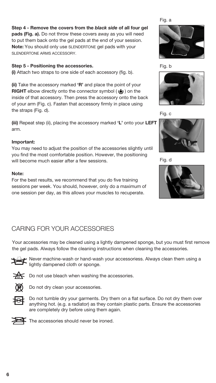#### **Step 4 - Remove the covers from the** *black side* **of all four gel**

**pads (Fig. a).** Do not throw these covers away as you will need to put them back onto the gel pads at the end of your session. **Note:** You should only use SLENDERTONE gel pads with your SLENDERTONE ARMS ACCESSORY

#### **Step 5 - Positioning the accessories.**

**(i)** Attach two straps to one side of each accessory (fig. b).

**(ii)** Take the accessory marked **'R'** and place the point of your **RIGHT** elbow directly onto the connector symbol ( $\phi$ ) on the inside of that accessory. Then press the accessory onto the back of your arm (Fig. c). Fasten that accessory firmly in place using the straps (Fig. d).

**(iii)** Repeat step (ii), placing the accessory marked **'L'** onto your **LEFT** arm.

#### **Important:**

You may need to adjust the position of the accessories slightly until you find the most comfortable position. However, the positioning will become much easier after a few sessions.

#### **Note:**

For the best results, we recommend that you do five training sessions per week. You should, however, only do a maximum of one session per day, as this allows your muscles to recuperate.



Fig. b



Fig. c



Fig. d



## CARING FOR YOUR ACCESSORIES

Your accessories may be cleaned using a lightly dampened sponge, but you must first remove the gel pads. Always follow the cleaning instructions when cleaning the accessories.



Never machine-wash or hand-wash your accessoriess. Always clean them using a lightly dampened cloth or sponge.



 $\leq$  Do not use bleach when washing the accessories.



Do not dry clean your accessories.



Do not tumble dry your garments. Dry them on a flat surface. Do not dry them over anything hot. (e.g. a radiator) as they contain plastic parts. Ensure the accessories are completely dry before using them again.



 $\overline{\phantom{a}}$  The accessories should never be ironed.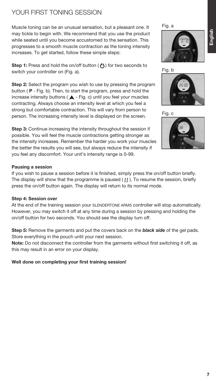## YOUR FIRST TONING SESSION

Muscle toning can be an unusual sensation, but a pleasant one. It may tickle to begin with. We recommend that you use the product while seated until you become accustomed to the sensation. This progresses to a smooth muscle contraction as the toning intensity increases. To get started, follow these simple steps:

**Step 1:** Press and hold the on/off button ( $\binom{1}{1}$ ) for two seconds to switch your controller on (Fig. a).

**Step 2:** Select the program you wish to use by pressing the program button ( **P** - Fig. b). Then, to start the program, press and hold the increase intensity buttons ( $\blacktriangle$  - Fig. c) until you feel your muscles contracting. Always choose an intensity level at which you feel a strong but comfortable contraction. This will vary from person to person. The increasing intensity level is displayed on the screen.

**Step 3:** Continue increasing the intensity throughout the session if possible. You will feel the muscle contractions getting stronger as the intensity increases. Remember the harder you work your muscles the better the results you will see, but always reduce the intensity if you feel any discomfort. Your unit's intensity range is 0-99.

#### **Pausing a session**

If you wish to pause a session before it is finished, simply press the on/off button briefly. The display will show that the programme is paused  $( \cdot \cdot )$ . To resume the session, briefly press the on/off button again. The display will return to its normal mode.

#### **Step 4: Session over**

At the end of the training session your SLENDERTONE ARMS controller will stop automatically. However, you may switch it off at any time during a session by pressing and holding the on/off button for two seconds. You should see the display turn off.

**Step 5:** Remove the garments and put the covers back on the *black side* of the gel pads. Store everything in the pouch until your next session.

**Note:** Do not disconnect the controller from the garments without first switching it off, as this may result in an error on your display.

**Well done on completing your first training session!**

Fig. a







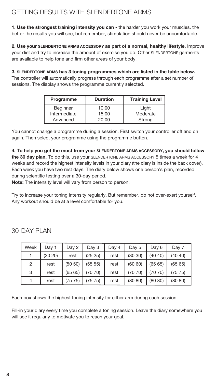## GETTING RESULTS WITH SLENDERTONE ARMS

**1. Use the strongest training intensity you can -** the harder you work your muscles, the better the results you will see, but remember, stimulation should never be uncomfortable.

**2. Use your SLENDERTONE ARMS ACCESSORY as part of a normal, healthy lifestyle.** Improve your diet and try to increase the amount of exercise you do. Other SLENDERTONE garments are available to help tone and firm other areas of your body.

**3. SLENDERTONE ARMS has 3 toning programmes which are listed in the table below.** 

The controller will automatically progress through each programme after a set number of sessions. The display shows the programme currently selected.

| Programme                       | <b>Duration</b> | <b>Training Level</b> |
|---------------------------------|-----------------|-----------------------|
| <b>Beginner</b><br>Intermediate | 10:00<br>15:00  | Light<br>Moderate     |
| Advanced                        | 20:00           | Strong                |

You cannot change a programme during a session. First switch your controller off and on again. Then select your programme using the programme button.

**4. To help you get the most from your SLENDERTONE ARMS ACCESSORY, you should follow the 30 day plan.** To do this, use your SLENDERTONE ARMS ACCESSORY 5 times a week for 4 weeks and record the highest intensity levels in your diary (the diary is inside the back cover). Each week you have two rest days. The diary below shows one person's plan, recorded during scientific testing over a 30-day period.

**Note:** The intensity level will vary from person to person.

Try to increase your toning intensity regularly. But remember, do not over-exert yourself. Any workout should be at a level comfortable for you.

| Week | Day 1   | Day 2   | Day 3   | Day 4 | Day 5   | Day 6   | Day 7   |
|------|---------|---------|---------|-------|---------|---------|---------|
|      | (20 20) | rest    | (25 25) | rest  | (3030)  | (40 40) | (40 40) |
| 2    | rest    | (50 50) | (55 55) | rest  | (60 60) | (6565)  | (65 65) |
| 3    | rest    | (6565)  | (70 70) | rest  | (70 70) | (70 70) | (75 75) |
| 4    | rest    | (75 75) | (75 75) | rest  | (80 80) | (80 80) | (80 80) |

30-DAY PLAN

Each box shows the highest toning intensity for either arm during each session.

Fill-in your diary every time you complete a toning session. Leave the diary somewhere you will see it regularly to motivate you to reach your goal.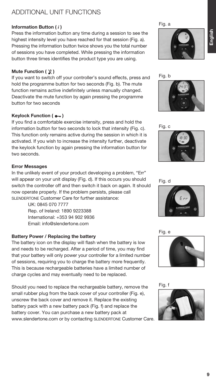## ADDITIONAL UNIT FUNCTIONS

#### **Information Button (** *i* **)**

Press the information button any time during a session to see the highest intensity level you have reached for that session (Fig. a). Pressing the information button twice shows you the total number of sessions you have completed. While pressing the information button three times identifies the product type you are using.

#### **Mute Function ( )**

If you want to switch off your controller's sound effects, press and hold the programme button for two seconds (Fig. b). The mute function remains active indefinitely unless manually changed. Deactivate the mute function by again pressing the programme button for two seconds

#### **Keylock Function (** $\circ$ )

If you find a comfortable exercise intensity, press and hold the information button for two seconds to lock that intensity (Fig. c). This function only remains active during the session in which it is activated. If you wish to increase the intensity further, deactivate the keylock function by again pressing the information button for two seconds.

#### **Error Messages**

In the unlikely event of your product developing a problem, "Err" will appear on your unit display (Fig. d). If this occurs you should switch the controller off and then switch it back on again. It should now operate properly. If the problem persists, please call SLENDERTONE Customer Care for further assistance:

> UK: 0845 070 7777 Rep. of Ireland: 1890 9223388 International: +353 94 902 9936 Email: info@slendertone.com

#### **Battery Power / Replacing the battery**

The battery icon on the display will flash when the battery is low and needs to be recharged. After a period of time, you may find that your battery will only power your controller for a limited number of sessions, requiring you to charge the battery more frequently. This is because rechargeable batteries have a limited number of charge cycles and may eventually need to be replaced.

Should you need to replace the rechargeable battery, remove the small rubber plug from the back cover of your controller (Fig. e), unscrew the back cover and remove it. Replace the existing battery pack with a new battery pack (Fig. f) and replace the battery cover. You can purchase a new battery pack at www.slendertone.com or by contacting SLENDERTONE Customer Care.

Fig. a







Fig. c



Fig. d







Fig. f

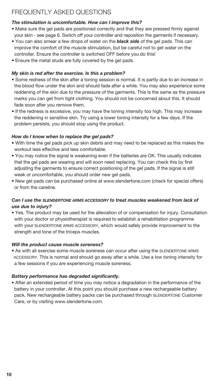## FREQUENTLY ASKED QUESTIONS

#### *The stimulation is uncomfortable. How can I improve this?*

- **•** Make sure the gel pads are positioned correctly and that they are pressed firmly against your skin - see page 6. Switch off your controller and reposition the garments if necessary.
- **•** You can also smear a few drops of water on the *black side* of the gel pads. This can improve the comfort of the muscle stimulation, but be careful not to get water on the controller. Ensure the controller is switched OFF before you do this!
- **•** Ensure the metal studs are fully covered by the gel pads.

#### *My skin is red after the exercise. Is this a problem?*

- **•** Some redness of the skin after a toning session is normal. It is partly due to an increase in the blood flow under the skin and should fade after a while. You may also experience some reddening of the skin due to the pressure of the garments. This is the same as the pressure marks you can get from tight clothing. You should not be concerned about this. It should fade soon after you remove them.
- If the redness is excessive, you may have the toning intensity too high. This may increase the reddening in sensitive skin. Try using a lower toning intensity for a few days. If the problem persists, you should stop using the product.

#### *How do I know when to replace the gel pads?*

- With time the gel pads pick up skin debris and may need to be replaced as this makes the workout less effective and less comfortable.
- You may notice the signal is weakening even if the batteries are OK. This usually indicates that the gel pads are wearing and will soon need replacing. You can check this by first adjusting the garments to ensure correct positioning of the gel pads. If the signal is still weak or uncomfortable, you should order new gel pads.
- New gel pads can be purchased online at www.slendertone.com (check for special offers) or from the careline.

#### *Can I use the SLENDERTONE ARMS ACCESSORY to treat muscles weakened from lack of use due to injury?*

**•** Yes. The product may be used for the alleviation of or compensation for injury. Consultation with your doctor or physiotherapist is required to establish a rehabilitation programme with your SLENDERTONE ARMS ACCESSORY, which would safely provide improvement to the strength and tone of the triceps muscles.

#### *Will the product cause muscle soreness?*

**•** As with all exercise some muscle soreness can occur after using the SLENDERTONE ARMS ACCESSORY. This is normal and should go away after a while. Use a low toning intensity for a few sessions if you are experiencing muscle soreness.

#### *Battery performance has degraded significantly.*

**•** After an extended period of time you may notice a degradation in the performance of the battery in your controller. At this point you should purchase a new rechargeable battery pack. New rechargeable battery packs can be purchased through SLENDERTONE Customer Care, or by visiting www.slendertone.com.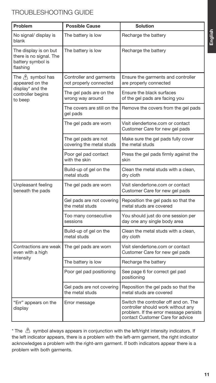## TROUBLESHOOTING GUIDE

| Problem                                                                           | <b>Possible Cause</b>                             | <b>Solution</b>                                                                                                                                           |
|-----------------------------------------------------------------------------------|---------------------------------------------------|-----------------------------------------------------------------------------------------------------------------------------------------------------------|
| No signal/ display is<br>blank                                                    | The battery is low                                | Recharge the battery                                                                                                                                      |
| The display is on but<br>there is no signal. The<br>battery symbol is<br>flashing | The battery is low                                | Recharge the battery                                                                                                                                      |
| The $\wedge$ symbol has<br>appeared on the                                        | Controller and garments<br>not properly connected | Ensure the garments and controller<br>are properly connected                                                                                              |
| display* and the<br>controller begins<br>to beep                                  | The gel pads are on the<br>wrong way around       | Ensure the black surfaces<br>of the gel pads are facing you                                                                                               |
|                                                                                   | The covers are still on the<br>gel pads           | Remove the covers from the gel pads                                                                                                                       |
|                                                                                   | The gel pads are worn                             | Visit slendertone.com or contact<br>Customer Care for new gel pads                                                                                        |
|                                                                                   | The gel pads are not<br>covering the metal studs  | Make sure the gel pads fully cover<br>the metal studs                                                                                                     |
|                                                                                   | Poor gel pad contact<br>with the skin             | Press the gel pads firmly against the<br>skin                                                                                                             |
|                                                                                   | Build-up of gel on the<br>metal studs             | Clean the metal studs with a clean,<br>dry cloth                                                                                                          |
| Unpleasant feeling<br>beneath the pads                                            | The gel pads are worn                             | Visit slendertone.com or contact<br>Customer Care for new gel pads                                                                                        |
|                                                                                   | Gel pads are not covering<br>the metal studs      | Reposition the gel pads so that the<br>metal studs are covered                                                                                            |
|                                                                                   | Too many consecutive<br>sessions                  | You should just do one session per<br>day one any single body area                                                                                        |
|                                                                                   | Build-up of gel on the<br>metal studs             | Clean the metal studs with a clean,<br>dry cloth                                                                                                          |
| Contractions are weak<br>even with a high                                         | The gel pads are worn                             | Visit slendertone.com or contact<br>Customer Care for new gel pads                                                                                        |
| intensity                                                                         | The battery is low                                | Recharge the battery                                                                                                                                      |
|                                                                                   | Poor gel pad positioning                          | See page 6 for correct gel pad<br>positioning                                                                                                             |
|                                                                                   | Gel pads are not covering<br>the metal studs      | Reposition the gel pads so that the<br>metal studs are covered                                                                                            |
| "Err" appears on the<br>display                                                   | Error message                                     | Switch the controller off and on. The<br>controller should work without any<br>problem. If the error message persists<br>contact Customer Care for advice |

\* The  $\bigtriangleup$  symbol always appears in conjunction with the left/right intensity indicators. If the left indicator appears, there is a problem with the left-arm garment, the right indicator acknowledges a problem with the right-arm garment. If both indicators appear there is a problem with both garments.

**English**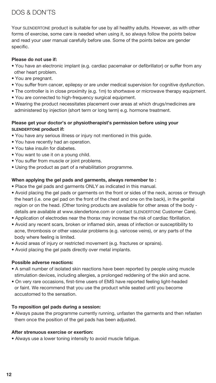## DOS & DON'TS

Your SLENDERTONE product is suitable for use by all healthy adults. However, as with other forms of exercise, some care is needed when using it, so always follow the points below and read your user manual carefully before use. Some of the points below are gender specific.

#### **Please do not use if:**

- **•** You have an electronic implant (e.g. cardiac pacemaker or defibrillator) or suffer from any other heart problem.
- **•** You are pregnant.
- You suffer from cancer, epilepsy or are under medical supervision for cognitive dysfunction.
- **•** The controller is in close proximity (e.g. 1m) to shortwave or microwave therapy equipment.
- **•** You are connected to high-frequency surgical equipment.
- **•** Wearing the product necessitates placement over areas at which drugs/medicines are administered by injection (short term or long term) e.g. hormone treatment.

#### **Please get your doctor's or physiotherapist's permission before using your SLENDERTONE product if:**

- **•** You have any serious illness or injury not mentioned in this guide.
- **•** You have recently had an operation.
- **•** You take insulin for diabetes.
- **•** You want to use it on a young child.
- **•** You suffer from muscle or joint problems.
- **•** Using the product as part of a rehabilitation programme.

#### **When applying the gel pads and garments, always remember to :**

- **•** Place the gel pads and garments ONLY as indicated in this manual.
- **•** Avoid placing the gel pads or garments on the front or sides of the neck, across or through the heart (i.e. one gel pad on the front of the chest and one on the back), in the genital region or on the head. (Other toning products are available for other areas of the body details are available at www.slendertone.com or contact SLENDERTONE Customer Care).
- **•** Application of electrodes near the thorax may increase the risk of cardiac fibrillation.
- **•** Avoid any recent scars, broken or inflamed skin, areas of infection or susceptibility to acne, thrombosis or other vascular problems (e.g. varicose veins), or any parts of the body where feeling is limited.
- **•** Avoid areas of injury or restricted movement (e.g. fractures or sprains).
- **•** Avoid placing the gel pads directly over metal implants.

#### **Possible adverse reactions:**

- **•** A small number of isolated skin reactions have been reported by people using muscle stimulation devices, including allergies, a prolonged reddening of the skin and acne.
- **•** On very rare occasions, first-time users of EMS have reported feeling light-headed or faint. We recommend that you use the product while seated until you become accustomed to the sensation.

#### **To reposition gel pads during a session:**

**•** Always pause the programme currently running, unfasten the garments and then refasten them once the position of the gel pads has been adjusted.

#### **After strenuous exercise or exertion:**

**•** Always use a lower toning intensity to avoid muscle fatigue.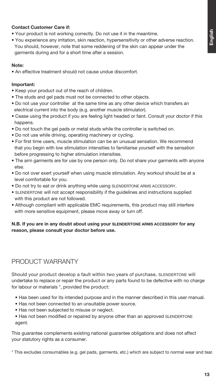#### **Contact Customer Care if:**

- **•** Your product is not working correctly. Do not use it in the meantime.
- **•** You experience any irritation, skin reaction, hypersensitivity or other adverse reaction. You should, however, note that some reddening of the skin can appear under the garments during and for a short time after a session.

#### **Note:**

**•** An effective treatment should not cause undue discomfort.

#### **Important:**

- **•** Keep your product out of the reach of children.
- **•** The studs and gel pads must not be connected to other objects.
- **•** Do not use your controller at the same time as any other device which transfers an electrical current into the body (e.g. another muscle stimulator).
- **•** Cease using the product if you are feeling light headed or faint. Consult your doctor if this happens.
- **•** Do not touch the gel pads or metal studs while the controller is switched on.
- **•** Do not use while driving, operating machinery or cycling.
- **•** For first time users, muscle stimulation can be an unusual sensation. We recommend that you begin with low stimulation intensities to familiarise yourself with the sensation before progressing to higher stimulation intensities.
- **•** The arm garments are for use by one person only. Do not share your garments with anyone else.
- **•** Do not over exert yourself when using muscle stimulation. Any workout should be at a level comfortable for you.
- **•** Do not try to eat or drink anything while using SLENDERTONE ARMS ACCESSORY.
- **•** SLENDERTONE will not accept responsibility if the guidelines and instructions supplied with this product are not followed.
- **•** Although compliant with applicable EMC requirements, this product may still interfere with more sensitive equipment, please move away or turn off.

#### **N.B. If you are in any doubt about using your SLENDERTONE ARMS ACCESSORY for any reason, please consult your doctor before use.**

### PRODUCT WARRANTY

Should your product develop a fault within two years of purchase, SLENDERTONE will undertake to replace or repair the product or any parts found to be defective with no charge for labour or materials \*, provided the product:

- Has been used for its intended purpose and in the manner described in this user manual.
- Has not been connected to an unsuitable power source.
- Has not been subjected to misuse or neglect.
- Has not been modified or repaired by anyone other than an approved SLENDERTONE agent.

This guarantee complements existing national guarantee obligations and does not affect your statutory rights as a consumer.

\* This excludes consumables (e.g. gel pads, garments, etc.) which are subject to normal wear and tear.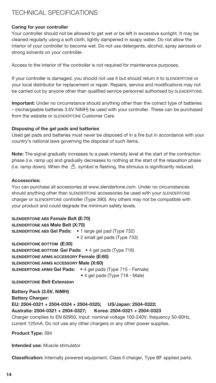## TECHNICAL SPECIFICATIONS

#### **Caring for your controller**

Your controller should not be allowed to get wet or be left in excessive sunlight. It may be cleaned regularly using a soft cloth, lightly dampened in soapy water. Do not allow the interior of your controller to become wet. Do not use detergents, alcohol, spray aerosols or strong solvents on your controller.

Access to the interior of the controller is not required for maintenance purposes.

If your controller is damaged, you should not use it but should return it to SLENDERTONE or your local distributor for replacement or repair. Repairs, service and modifications may not be carried out by anyone other than qualified service personnel authorised by SLENDERTONE.

**Important:** Under no circumstance should anything other than the correct type of batteries – (rechargeable batteries 3.6V NiMH) be used with your controller. These can be purchased from the website or SLENDERTONE Customer Care.

#### **Disposing of the gel pads and batteries**

Used gel pads and batteries must never be disposed of in a fire but in accordance with your country's national laws governing the disposal of such items.

**Note:** The signal gradually increases to a peak intensity level at the start of the contraction phase (i.e. ramp up) and gradually decreases to nothing at the start of the relaxation phase (i.e. ramp down). When the  $\langle \cdot \rangle$  symbol is flashing, the stimulus is significantly reduced.

#### **Accessories:**

You can purchase all accessories at www.slendertone.com. Under no circumstances should anything other than SLENDERTONE accessories be used with your SLENDERTONE charger or SLENDERTONE controller (Type 390). Any others may not be compatible with your product and could degrade the minimum safety levels.

#### **SLENDERTONE ABS Female Belt (E:70)**

| <b>SLENDERTONE ABS Male Belt (X:70)</b>                            |                                |
|--------------------------------------------------------------------|--------------------------------|
| <b>SLENDERTONE ABS Gel Pads:</b> . 1 large gel pad (Type 732)      |                                |
|                                                                    | • 2 small gel pads (Type 733)  |
| SLENDERTONE BOTTOM (E:30)                                          |                                |
| <b>SLENDERTONE BOTTOM Gel Pads:</b> • 4 gel pads (Type 716)        |                                |
| <b>SLENDERTONE ARMS ACCESSORY Female (E:60)</b>                    |                                |
| <b>SLENDERTONE ARMS ACCESSORY Male (X:60)</b>                      |                                |
| <b>SLENDERTONE ARMS Gel Pads:</b> . 4 gel pads (Type 715 - Female) |                                |
|                                                                    | • 4 gel pads (Type 718 - Male) |

**SLENDERTONE Belt Extension**

**Battery Pack (3.6V, NiMH) Battery Charger: EU: 2504-0321 + 2504-0324 + 2504-0325; US/Japan: 2504-0322; Australia: 2504-0321 + 2504-0327; Korea: 2504-0321 + 2504-0323** Charger complies to EN 60950, Input: nominal voltage 100-240V, frequency 50-60Hz, current 125mA. Do not use any other chargers or any other power supplies.

**Product Type:** 394

**Intended use:** Muscle stimulator

**Classification:** Internally powered equipment, Class II charger, Type BF applied parts.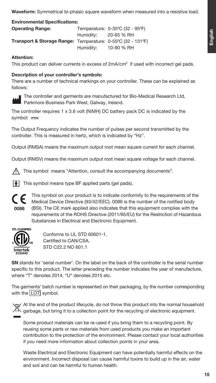**Waveform:** Symmetrical bi-phasic square waveform when measured into a resistive load.

| <b>Environmental Specifications:</b>                                                                |                      |                                 |  |  |  |  |  |  |  |
|-----------------------------------------------------------------------------------------------------|----------------------|---------------------------------|--|--|--|--|--|--|--|
| <b>Operating Range:</b>                                                                             |                      | Temperature: 0-35°C (32 - 95°F) |  |  |  |  |  |  |  |
|                                                                                                     | Humidity: 20-65 % RH |                                 |  |  |  |  |  |  |  |
| <b>Transport &amp; Storage Range:</b> Temperature: $0$ -55 <sup>°</sup> C (32 - 131 <sup>°</sup> F) |                      |                                 |  |  |  |  |  |  |  |
|                                                                                                     | Humidity:            | 10-90 % RH                      |  |  |  |  |  |  |  |

#### **Attention:**

This product can deliver currents in excess of  $2mA/cm<sup>2</sup>$  if used with incorrect gel pads.

#### **Description of your controller's symbols:**

There are a number of technical markings on your controller. These can be explained as follows:



The controller and garments are manufactured for Bio-Medical Research Ltd, Parkmore Business Park West, Galway, Ireland.

The controller requires 1 x 3.6 volt (NiMH) DC battery pack DC is indicated by the symbol:  $=$ 

The Output Frequency indicates the number of pulses per second transmitted by the controller. This is measured in hertz, which is indicated by "Hz".

Output (RMSA) means the maximum output root mean square current for each channel.

Output (RMSV) means the maximum output root mean square voltage for each channel.

This symbol means "Attention, consult the accompanying documents".

This symbol means type BF applied parts (gel pads).



This symbol on your product is to indicate conformity to the requirements of the Medical Device Directive (93/42/EEC). 0086 is the number of the notified body (BSI). The CE mark applied also indicates that this equipment complies with the requirements of the ROHS Directive (2011/65/EU) for the Restriction of Hazardous Substances in Electrical and Electronic Equipment.



Conforms to UL STD 60601-1. Certified to CAN/CSA. STD C22.2 NO 601.1

**SN** stands for 'serial number'. On the label on the back of the controller is the serial number specific to this product. The letter preceding the number indicates the year of manufacture, where "T" denotes 2014, "U" denotes 2015 etc.

The garments' batch number is represented on their packaging, by the number corresponding with the LOT symbol.



 $\gamma$  At the end of the product lifecycle, do not throw this product into the normal household garbage, but bring it to a collection point for the recycling of electronic equipment.

Some product materials can be re-used if you bring them to a recycling point. By reusing some parts or raw materials from used products you make an important contribution to the protection of the environment. Please contact your local authorities if you need more information about collection points in your area.

Waste Electrical and Electronic Equipment can have potentially harmful effects on the environment. Incorrect disposal can cause harmful toxins to build up in the air, water and soil and can be harmful to human health.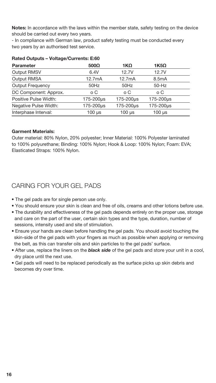**Notes:** In accordance with the laws within the member state, safety testing on the device should be carried out every two years.

- In compliance with German law, product safety testing must be conducted every two years by an authorised test service.

| <b>Parameter</b>        | $500\Omega$   | $1K\Omega$    | $1K5\Omega$        |  |
|-------------------------|---------------|---------------|--------------------|--|
| Output RMSV             | 6.4V          | 12.7V         | 12.7V              |  |
| Output RMSA             | 12.7mA        | 12.7mA        | 8.5 <sub>m</sub> A |  |
| <b>Output Frequency</b> | 50Hz          | 50Hz          | $50-Hz$            |  |
| DC Component: Approx.   | o C           | o C           | o C                |  |
| Positive Pulse Width:   | 175-200µs     | 175-200µs     | 175-200µs          |  |
| Negative Pulse Width:   | 175-200us     | 175-200µs     | 175-200µs          |  |
| Interphase Interval:    | $100$ $\mu$ s | $100$ $\mu$ s | $100$ $\mu$ s      |  |

#### **Rated Outputs – Voltage/Currents: E:60**

#### **Garment Materials:**

Outer material: 80% Nylon, 20% polyester; Inner Material: 100% Polyester laminated to 100% polyurethane; Binding: 100% Nylon; Hook & Loop: 100% Nylon; Foam: EVA; Elasticated Straps: 100% Nylon.

## CARING FOR YOUR GEL PADS

- **•** The gel pads are for single person use only.
- **•** You should ensure your skin is clean and free of oils, creams and other lotions before use.
- **•** The durability and effectiveness of the gel pads depends entirely on the proper use, storage and care on the part of the user, certain skin types and the type, duration, number of sessions, intensity used and site of stimulation.
- **•** Ensure your hands are clean before handling the gel pads. You should avoid touching the skin-side of the gel pads with your fingers as much as possible when applying or removing the belt, as this can transfer oils and skin particles to the gel pads' surface.
- **•** After use, replace the liners on the *black side* of the gel pads and store your unit in a cool, dry place until the next use.
- **•** Gel pads will need to be replaced periodically as the surface picks up skin debris and becomes dry over time.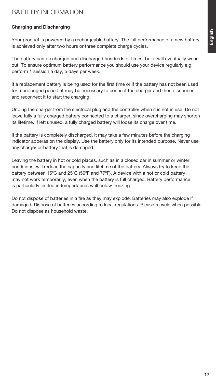## BATTERY INFORMATION

#### **Charging and Discharging**

Your product is powered by a rechargeable battery. The full performance of a new battery is achieved only after two hours or three complete charge cycles.

The battery can be charged and discharged hundreds of times, but it will eventually wear out. To ensure optimum battery performance you should use your device regularly e.g. perform 1 session a day, 5 days per week.

If a replacement battery is being used for the first time or if the battery has not been used for a prolonged period, it may be necessary to connect the charger and then disconnect and reconnect it to start the charging.

Unplug the charger from the electrical plug and the controller when it is not in use. Do not leave fully a fully charged battery connected to a charger, since overcharging may shorten its lifetime. If left unused, a fully charged battery will loose its charge over time.

If the battery is completely discharged, it may take a few minutes before the charging indicator apperas on the display. Use the battery only for its intended purpose. Never use any charger or battery that is damaged.

Leaving the battery in hot or cold places, such as in a closed car in summer or winter conditions, will reduce the capacity and lifetime of the battery. Always try to keep the battery between 15°C and 25°C (59°F and 77°F). A device with a hot or cold battery may not work temporarily, even when the battery is full charged. Battery performance is particularly limited in tempertaures well below freezing.

Do not dispose of batteries in a fire as they may explode. Batteries may also explode if damaged. Dispose of batteries according to local regulations. Please recycle when possible. Do not dispose as household waste.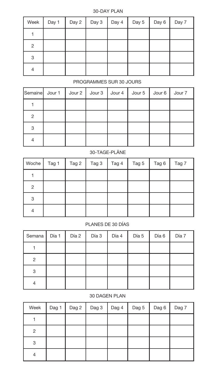#### 30-DAY PLAN

| Week | Day 1 | Day 2 $\vert$ | Day $3$ | Day 4 $\vert$ Day 5 | Day 6 | Day 7 |
|------|-------|---------------|---------|---------------------|-------|-------|
|      |       |               |         |                     |       |       |
| 2    |       |               |         |                     |       |       |
| 3    |       |               |         |                     |       |       |
| 4    |       |               |         |                     |       |       |

#### PROGRAMMES SUR 30 JOURS

|                | Semaine   Jour 1   Jour 2   Jour 3   Jour 4   Jour 5   Jour 6   Jour 7 |  |  |  |
|----------------|------------------------------------------------------------------------|--|--|--|
|                |                                                                        |  |  |  |
| $\overline{2}$ |                                                                        |  |  |  |
| 3              |                                                                        |  |  |  |
|                |                                                                        |  |  |  |

#### 30-TAGE-PLÄNE

| Woche | Tag 1 | Tag 2 | Tag 3 | Tag 4 | Tag 5 | Tag 6 | Tag 7 |
|-------|-------|-------|-------|-------|-------|-------|-------|
|       |       |       |       |       |       |       |       |
| 2     |       |       |       |       |       |       |       |
| 3     |       |       |       |       |       |       |       |
| 4     |       |       |       |       |       |       |       |

#### PLANES DE 30 DÍAS

| Semana | Día 1 | Día 2 | Día 3 | Día 4 | Día 5 | Día 6 | Día 7 |
|--------|-------|-------|-------|-------|-------|-------|-------|
|        |       |       |       |       |       |       |       |
| 2      |       |       |       |       |       |       |       |
| 3      |       |       |       |       |       |       |       |
|        |       |       |       |       |       |       |       |

#### 30 DAGEN PLAN

| Week | Dag 1 | Dag 2 | Dag 3 | Dag 4 | Dag 5 | Dag 6 | Dag 7 |
|------|-------|-------|-------|-------|-------|-------|-------|
|      |       |       |       |       |       |       |       |
| 2    |       |       |       |       |       |       |       |
| 3    |       |       |       |       |       |       |       |
| 4    |       |       |       |       |       |       |       |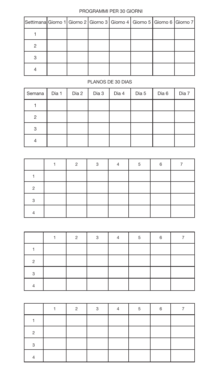#### PROGRAMMI PER 30 GIORNI

| Settimana Giorno 1 Giorno 2 Giorno 3 Giorno 4 Giorno 5 Giorno 6 Giorno 7 |  |  |  |  |
|--------------------------------------------------------------------------|--|--|--|--|
|                                                                          |  |  |  |  |
|                                                                          |  |  |  |  |
|                                                                          |  |  |  |  |
|                                                                          |  |  |  |  |

#### PLANOS DE 30 DIAS

| Semana         | Dia 1 | Dia 2 | Dia 3 | Dia 4 | Dia 5 | Dia 6 | Dia 7 |
|----------------|-------|-------|-------|-------|-------|-------|-------|
|                |       |       |       |       |       |       |       |
| $\overline{2}$ |       |       |       |       |       |       |       |
| 3              |       |       |       |       |       |       |       |
|                |       |       |       |       |       |       |       |

|   | $\mathcal{P}$ | $\mathbf{r}$ | Λ | 5 | 6 |  |
|---|---------------|--------------|---|---|---|--|
|   |               |              |   |   |   |  |
| ≘ |               |              |   |   |   |  |
| ◠ |               |              |   |   |   |  |
|   |               |              |   |   |   |  |

|   | ◠ | 2 | 5 | 6 |  |
|---|---|---|---|---|--|
|   |   |   |   |   |  |
| റ |   |   |   |   |  |
| C |   |   |   |   |  |
|   |   |   |   |   |  |

|   | റ | ◠ |  | 6 |  |
|---|---|---|--|---|--|
|   |   |   |  |   |  |
| ◠ |   |   |  |   |  |
| ◠ |   |   |  |   |  |
|   |   |   |  |   |  |